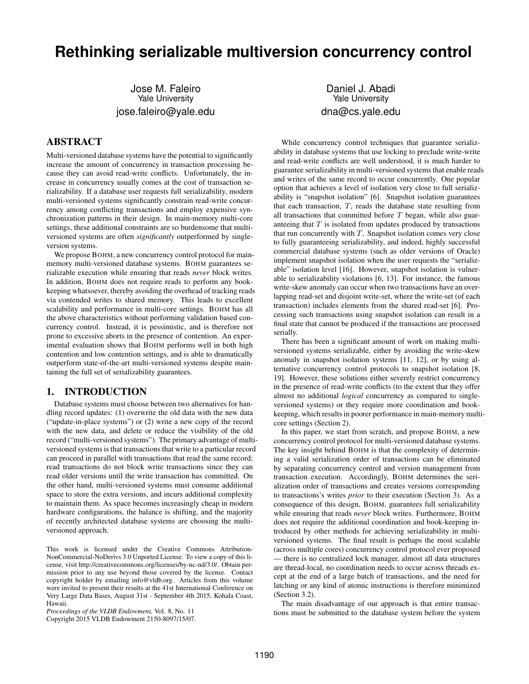# **Rethinking serializable multiversion concurrency control**

Jose M. Faleiro Yale University jose.faleiro@yale.edu

# ABSTRACT

Multi-versioned database systems have the potential to significantly increase the amount of concurrency in transaction processing because they can avoid read-write conflicts. Unfortunately, the increase in concurrency usually comes at the cost of transaction serializability. If a database user requests full serializability, modern multi-versioned systems significantly constrain read-write concurrency among conflicting transactions and employ expensive synchronization patterns in their design. In main-memory multi-core settings, these additional constraints are so burdensome that multiversioned systems are often *significantly* outperformed by singleversion systems.

We propose BOHM, a new concurrency control protocol for mainmemory multi-versioned database systems. BOHM guarantees serializable execution while ensuring that reads *never* block writes. In addition, BOHM does not require reads to perform any bookkeeping whatsoever, thereby avoiding the overhead of tracking reads via contended writes to shared memory. This leads to excellent scalability and performance in multi-core settings. BOHM has all the above characteristics without performing validation based concurrency control. Instead, it is pessimistic, and is therefore not prone to excessive aborts in the presence of contention. An experimental evaluation shows that BOHM performs well in both high contention and low contention settings, and is able to dramatically outperform state-of-the-art multi-versioned systems despite maintaining the full set of serializability guarantees.

# 1. INTRODUCTION

Database systems must choose between two alternatives for handling record updates: (1) overwrite the old data with the new data ("update-in-place systems") or (2) write a new copy of the record with the new data, and delete or reduce the visibility of the old record ("multi-versioned systems"). The primary advantage of multiversioned systems is that transactions that write to a particular record can proceed in parallel with transactions that read the same record; read transactions do not block write transactions since they can read older versions until the write transaction has committed. On the other hand, multi-versioned systems must consume additional space to store the extra versions, and incurs additional complexity to maintain them. As space becomes increasingly cheap in modern hardware configurations, the balance is shifting, and the majority of recently architected database systems are choosing the multiversioned approach.

*Proceedings of the VLDB Endowment,* Vol. 8, No. 11

Copyright 2015 VLDB Endowment 2150-8097/15/07.

Daniel J. Abadi Yale University dna@cs.yale.edu

While concurrency control techniques that guarantee serializability in database systems that use locking to preclude write-write and read-write conflicts are well understood, it is much harder to guarantee serializability in multi-versioned systems that enable reads and writes of the same record to occur concurrently. One popular option that achieves a level of isolation very close to full serializability is "snapshot isolation" [6]. Snapshot isolation guarantees that each transaction,  $T$ , reads the database state resulting from all transactions that committed before  $T$  began, while also guaranteeing that  $T$  is isolated from updates produced by transactions that run concurrently with  $T$ . Snapshot isolation comes very close to fully guaranteeing serializability, and indeed, highly successful commercial database systems (such as older versions of Oracle) implement snapshot isolation when the user requests the "serializable" isolation level [16]. However, snapshot isolation is vulnerable to serializability violations [6, 13]. For instance, the famous write-skew anomaly can occur when two transactions have an overlapping read-set and disjoint write-set, where the write-set (of each transaction) includes elements from the shared read-set [6]. Processing such transactions using snapshot isolation can result in a final state that cannot be produced if the transactions are processed serially.

There has been a significant amount of work on making multiversioned systems serializable, either by avoiding the write-skew anomaly in snapshot isolation systems [11, 12], or by using alternative concurrency control protocols to snapshot isolation [8, 19]. However, these solutions either severely restrict concurrency in the presence of read-write conflicts (to the extent that they offer almost no additional *logical* concurrency as compared to singleversioned systems) or they require more coordination and bookkeeping, which results in poorer performance in main-memory multicore settings (Section 2).

In this paper, we start from scratch, and propose BOHM, a new concurrency control protocol for multi-versioned database systems. The key insight behind BOHM is that the complexity of determining a valid serialization order of transactions can be eliminated by separating concurrency control and version management from transaction execution. Accordingly, BOHM determines the serialization order of transactions and creates versions corresponding to transactions's writes *prior* to their execution (Section 3). As a consequence of this design, BOHM, guarantees full serializability while ensuring that reads *never* block writes. Furthermore, BOHM does not require the additional coordination and book-keeping introduced by other methods for achieving serializability in multiversioned systems. The final result is perhaps the most scalable (across multiple cores) concurrency control protocol ever proposed — there is no centralized lock manager, almost all data structures are thread-local, no coordination needs to occur across threads except at the end of a large batch of transactions, and the need for latching or any kind of atomic instructions is therefore minimized (Section 3.2).

The main disadvantage of our approach is that entire transactions must be submitted to the database system before the system

This work is licensed under the Creative Commons Attribution-NonCommercial-NoDerivs 3.0 Unported License. To view a copy of this license, visit http://creativecommons.org/licenses/by-nc-nd/3.0/. Obtain permission prior to any use beyond those covered by the license. Contact copyright holder by emailing info@vldb.org. Articles from this volume were invited to present their results at the 41st International Conference on Very Large Data Bases, August 31st - September 4th 2015, Kohala Coast, Hawaii.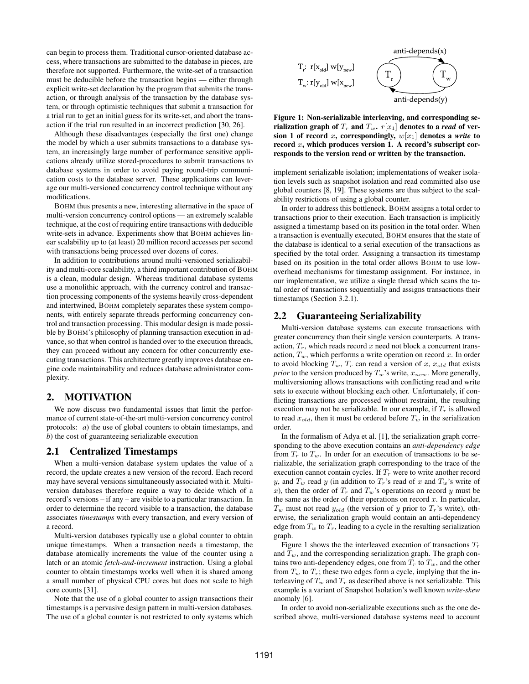can begin to process them. Traditional cursor-oriented database access, where transactions are submitted to the database in pieces, are therefore not supported. Furthermore, the write-set of a transaction must be deducible before the transaction begins — either through explicit write-set declaration by the program that submits the transaction, or through analysis of the transaction by the database system, or through optimistic techniques that submit a transaction for a trial run to get an initial guess for its write-set, and abort the transaction if the trial run resulted in an incorrect prediction [30, 26].

Although these disadvantages (especially the first one) change the model by which a user submits transactions to a database system, an increasingly large number of performance sensitive applications already utilize stored-procedures to submit transactions to database systems in order to avoid paying round-trip communication costs to the database server. These applications can leverage our multi-versioned concurrency control technique without any modifications.

BOHM thus presents a new, interesting alternative in the space of multi-version concurrency control options — an extremely scalable technique, at the cost of requiring entire transactions with deducible write-sets in advance. Experiments show that BOHM achieves linear scalability up to (at least) 20 million record accesses per second with transactions being processed over dozens of cores.

In addition to contributions around multi-versioned serializability and multi-core scalability, a third important contribution of BOHM is a clean, modular design. Whereas traditional database systems use a monolithic approach, with the currency control and transaction processing components of the systems heavily cross-dependent and intertwined, BOHM completely separates these system components, with entirely separate threads performing concurrency control and transaction processing. This modular design is made possible by BOHM's philosophy of planning transaction execution in advance, so that when control is handed over to the execution threads, they can proceed without any concern for other concurrently executing transactions. This architecture greatly improves database engine code maintainability and reduces database administrator complexity.

# 2. MOTIVATION

We now discuss two fundamental issues that limit the performance of current state-of-the-art multi-version concurrency control protocols: *a*) the use of global counters to obtain timestamps, and *b*) the cost of guaranteeing serializable execution

#### 2.1 Centralized Timestamps

When a multi-version database system updates the value of a record, the update creates a new version of the record. Each record may have several versions simultaneously associated with it. Multiversion databases therefore require a way to decide which of a record's versions – if any – are visible to a particular transaction. In order to determine the record visible to a transaction, the database associates *timestamps* with every transaction, and every version of a record.

Multi-version databases typically use a global counter to obtain unique timestamps. When a transaction needs a timestamp, the database atomically increments the value of the counter using a latch or an atomic *fetch-and-increment* instruction. Using a global counter to obtain timestamps works well when it is shared among a small number of physical CPU cores but does not scale to high core counts [31].

Note that the use of a global counter to assign transactions their timestamps is a pervasive design pattern in multi-version databases. The use of a global counter is not restricted to only systems which



Figure 1: Non-serializable interleaving, and corresponding serialization graph of  $T_r$  and  $T_w$ .  $r[x_1]$  denotes to a *read* of version 1 of record x, correspondingly,  $w[x_1]$  denotes a *write* to record  $x$ , which produces version 1. A record's subscript corresponds to the version read or written by the transaction.

implement serializable isolation; implementations of weaker isolation levels such as snapshot isolation and read committed also use global counters [8, 19]. These systems are thus subject to the scalability restrictions of using a global counter.

In order to address this bottleneck, BOHM assigns a total order to transactions prior to their execution. Each transaction is implicitly assigned a timestamp based on its position in the total order. When a transaction is eventually executed, BOHM ensures that the state of the database is identical to a serial execution of the transactions as specified by the total order. Assigning a transaction its timestamp based on its position in the total order allows BOHM to use lowoverhead mechanisms for timestamp assignment. For instance, in our implementation, we utilize a single thread which scans the total order of transactions sequentially and assigns transactions their timestamps (Section 3.2.1).

# 2.2 Guaranteeing Serializability

Multi-version database systems can execute transactions with greater concurrency than their single version counterparts. A transaction,  $T_r$ , which reads record x need not block a concurrent transaction,  $T_w$ , which performs a write operation on record x. In order to avoid blocking  $T_w$ ,  $T_r$  can read a version of x,  $x_{old}$  that exists *prior* to the version produced by  $T_w$ 's write,  $x_{new}$ . More generally, multiversioning allows transactions with conflicting read and write sets to execute without blocking each other. Unfortunately, if conflicting transactions are processed without restraint, the resulting execution may not be serializable. In our example, if  $T_r$  is allowed to read  $x_{old}$ , then it must be ordered before  $T_w$  in the serialization order.

In the formalism of Adya et al. [1], the serialization graph corresponding to the above execution contains an *anti-dependency edge* from  $T_r$  to  $T_w$ . In order for an execution of transactions to be serializable, the serialization graph corresponding to the trace of the execution cannot contain cycles. If  $T_r$  were to write another record y, and  $T_w$  read y (in addition to  $T_r$ 's read of x and  $T_w$ 's write of x), then the order of  $T_r$  and  $T_w$ 's operations on record y must be the same as the order of their operations on record  $x$ . In particular,  $T_w$  must not read  $y_{old}$  (the version of y prior to  $T_r$ 's write), otherwise, the serialization graph would contain an anti-dependency edge from  $T_w$  to  $T_r$ , leading to a cycle in the resulting serialization graph.

Figure 1 shows the the interleaved execution of transactions  $T_r$ and  $T_w$ , and the corresponding serialization graph. The graph contains two anti-dependency edges, one from  $T_r$  to  $T_w$ , and the other from  $T_w$  to  $T_r$ ; these two edges form a cycle, implying that the interleaving of  $T_w$  and  $T_r$  as described above is not serializable. This example is a variant of Snapshot Isolation's well known *write-skew* anomaly [6].

In order to avoid non-serializable executions such as the one described above, multi-versioned database systems need to account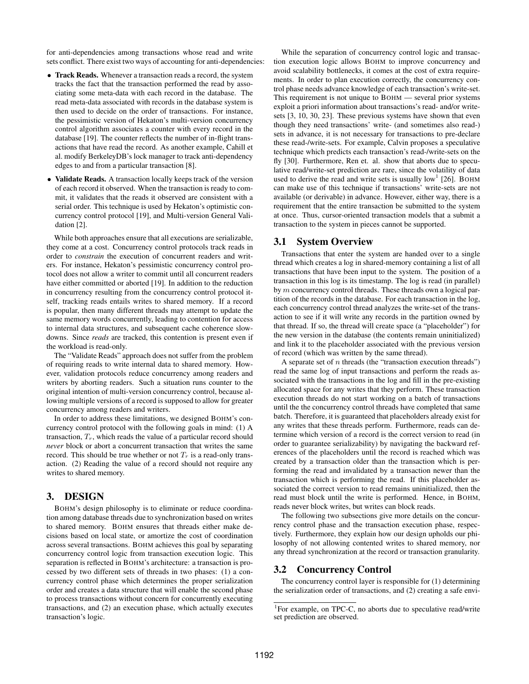for anti-dependencies among transactions whose read and write sets conflict. There exist two ways of accounting for anti-dependencies:

- Track Reads. Whenever a transaction reads a record, the system tracks the fact that the transaction performed the read by associating some meta-data with each record in the database. The read meta-data associated with records in the database system is then used to decide on the order of transactions. For instance, the pessimistic version of Hekaton's multi-version concurrency control algorithm associates a counter with every record in the database [19]. The counter reflects the number of in-flight transactions that have read the record. As another example, Cahill et al. modify BerkeleyDB's lock manager to track anti-dependency edges to and from a particular transaction [8].
- Validate Reads. A transaction locally keeps track of the version of each record it observed. When the transaction is ready to commit, it validates that the reads it observed are consistent with a serial order. This technique is used by Hekaton's optimistic concurrency control protocol [19], and Multi-version General Validation [2].

While both approaches ensure that all executions are serializable, they come at a cost. Concurrency control protocols track reads in order to *constrain* the execution of concurrent readers and writers. For instance, Hekaton's pessimistic concurrency control protocol does not allow a writer to commit until all concurrent readers have either committed or aborted [19]. In addition to the reduction in concurrency resulting from the concurrency control protocol itself, tracking reads entails writes to shared memory. If a record is popular, then many different threads may attempt to update the same memory words concurrently, leading to contention for access to internal data structures, and subsequent cache coherence slowdowns. Since *reads* are tracked, this contention is present even if the workload is read-only.

The "Validate Reads" approach does not suffer from the problem of requiring reads to write internal data to shared memory. However, validation protocols reduce concurrency among readers and writers by aborting readers. Such a situation runs counter to the original intention of multi-version concurrency control, because allowing multiple versions of a record is supposed to allow for greater concurrency among readers and writers.

In order to address these limitations, we designed BOHM's concurrency control protocol with the following goals in mind: (1) A transaction,  $T_r$ , which reads the value of a particular record should *never* block or abort a concurrent transaction that writes the same record. This should be true whether or not  $T_r$  is a read-only transaction. (2) Reading the value of a record should not require any writes to shared memory.

# 3. DESIGN

BOHM's design philosophy is to eliminate or reduce coordination among database threads due to synchronization based on writes to shared memory. BOHM ensures that threads either make decisions based on local state, or amortize the cost of coordination across several transactions. BOHM achieves this goal by separating concurrency control logic from transaction execution logic. This separation is reflected in BOHM's architecture: a transaction is processed by two different sets of threads in two phases: (1) a concurrency control phase which determines the proper serialization order and creates a data structure that will enable the second phase to process transactions without concern for concurrently executing transactions, and (2) an execution phase, which actually executes transaction's logic.

While the separation of concurrency control logic and transaction execution logic allows BOHM to improve concurrency and avoid scalability bottlenecks, it comes at the cost of extra requirements. In order to plan execution correctly, the concurrency control phase needs advance knowledge of each transaction's write-set. This requirement is not unique to BOHM — several prior systems exploit a priori information about transactions's read- and/or writesets [3, 10, 30, 23]. These previous systems have shown that even though they need transactions' write- (and sometimes also read-) sets in advance, it is not necessary for transactions to pre-declare these read-/write-sets. For example, Calvin proposes a speculative technique which predicts each transaction's read-/write-sets on the fly [30]. Furthermore, Ren et. al. show that aborts due to speculative read/write-set prediction are rare, since the volatility of data used to derive the read and write sets is usually  $low<sup>1</sup>$  [26]. BOHM can make use of this technique if transactions' write-sets are not available (or derivable) in advance. However, either way, there is a requirement that the entire transaction be submitted to the system at once. Thus, cursor-oriented transaction models that a submit a transaction to the system in pieces cannot be supported.

# 3.1 System Overview

Transactions that enter the system are handed over to a single thread which creates a log in shared-memory containing a list of all transactions that have been input to the system. The position of a transaction in this log is its timestamp. The log is read (in parallel) by m concurrency control threads. These threads own a logical partition of the records in the database. For each transaction in the log, each concurrency control thread analyzes the write-set of the transaction to see if it will write any records in the partition owned by that thread. If so, the thread will create space (a "placeholder") for the new version in the database (the contents remain uninitialized) and link it to the placeholder associated with the previous version of record (which was written by the same thread).

A separate set of  $n$  threads (the "transaction execution threads") read the same log of input transactions and perform the reads associated with the transactions in the log and fill in the pre-existing allocated space for any writes that they perform. These transaction execution threads do not start working on a batch of transactions until the the concurrency control threads have completed that same batch. Therefore, it is guaranteed that placeholders already exist for any writes that these threads perform. Furthermore, reads can determine which version of a record is the correct version to read (in order to guarantee serializability) by navigating the backward references of the placeholders until the record is reached which was created by a transaction older than the transaction which is performing the read and invalidated by a transaction newer than the transaction which is performing the read. If this placeholder associated the correct version to read remains uninitialized, then the read must block until the write is performed. Hence, in BOHM, reads never block writes, but writes can block reads.

The following two subsections give more details on the concurrency control phase and the transaction execution phase, respectively. Furthermore, they explain how our design upholds our philosophy of not allowing contented writes to shared memory, nor any thread synchronization at the record or transaction granularity.

# 3.2 Concurrency Control

The concurrency control layer is responsible for (1) determining the serialization order of transactions, and (2) creating a safe envi-

<sup>&</sup>lt;sup>1</sup>For example, on TPC-C, no aborts due to speculative read/write set prediction are observed.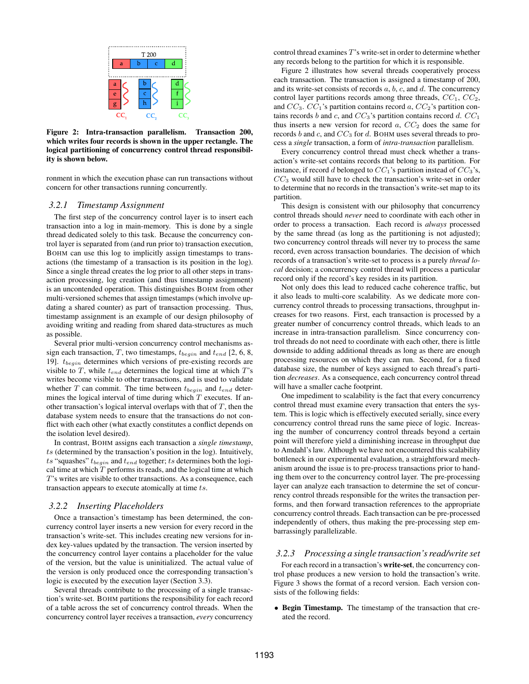

Figure 2: Intra-transaction parallelism. Transaction 200, which writes four records is shown in the upper rectangle. The logical partitioning of concurrency control thread responsibility is shown below.

ronment in which the execution phase can run transactions without concern for other transactions running concurrently.

#### *3.2.1 Timestamp Assignment*

The first step of the concurrency control layer is to insert each transaction into a log in main-memory. This is done by a single thread dedicated solely to this task. Because the concurrency control layer is separated from (and run prior to) transaction execution, BOHM can use this log to implicitly assign timestamps to transactions (the timestamp of a transaction is its position in the log). Since a single thread creates the log prior to all other steps in transaction processing, log creation (and thus timestamp assignment) is an uncontended operation. This distinguishes BOHM from other multi-versioned schemes that assign timestamps (which involve updating a shared counter) as part of transaction processing. Thus, timestamp assignment is an example of our design philosophy of avoiding writing and reading from shared data-structures as much as possible.

Several prior multi-version concurrency control mechanisms assign each transaction, T, two timestamps,  $t_{begin}$  and  $t_{end}$  [2, 6, 8, 19].  $t_{begin}$  determines which versions of pre-existing records are visible to  $T$ , while  $t_{end}$  determines the logical time at which  $T$ 's writes become visible to other transactions, and is used to validate whether  $T$  can commit. The time between  $t_{begin}$  and  $t_{end}$  determines the logical interval of time during which  $T$  executes. If another transaction's logical interval overlaps with that of  $T$ , then the database system needs to ensure that the transactions do not conflict with each other (what exactly constitutes a conflict depends on the isolation level desired).

In contrast, BOHM assigns each transaction a *single timestamp*,  $ts$  (determined by the transaction's position in the log). Intuitively, ts "squashes"  $t_{begin}$  and  $t_{end}$  together; ts determines both the logical time at which  $T$  performs its reads, and the logical time at which T's writes are visible to other transactions. As a consequence, each transaction appears to execute atomically at time ts.

#### *3.2.2 Inserting Placeholders*

Once a transaction's timestamp has been determined, the concurrency control layer inserts a new version for every record in the transaction's write-set. This includes creating new versions for index key-values updated by the transaction. The version inserted by the concurrency control layer contains a placeholder for the value of the version, but the value is uninitialized. The actual value of the version is only produced once the corresponding transaction's logic is executed by the execution layer (Section 3.3).

Several threads contribute to the processing of a single transaction's write-set. BOHM partitions the responsibility for each record of a table across the set of concurrency control threads. When the concurrency control layer receives a transaction, *every* concurrency

control thread examines  $T$ 's write-set in order to determine whether any records belong to the partition for which it is responsible.

Figure 2 illustrates how several threads cooperatively process each transaction. The transaction is assigned a timestamp of 200, and its write-set consists of records  $a, b, c$ , and  $d$ . The concurrency control layer partitions records among three threads,  $CC_1$ ,  $CC_2$ , and  $CC_3$ .  $CC_1$ 's partition contains record a,  $CC_2$ 's partition contains records b and c, and  $CC_3$ 's partition contains record d.  $CC_1$ thus inserts a new version for record  $a, CC<sub>2</sub>$  does the same for records b and c, and  $CC_3$  for d. BOHM uses several threads to process a *single* transaction, a form of *intra-transaction* parallelism.

Every concurrency control thread must check whether a transaction's write-set contains records that belong to its partition. For instance, if record d belonged to  $CC_1$ 's partition instead of  $CC_3$ 's,  $CC<sub>3</sub>$  would still have to check the transaction's write-set in order to determine that no records in the transaction's write-set map to its partition.

This design is consistent with our philosophy that concurrency control threads should *never* need to coordinate with each other in order to process a transaction. Each record is *always* processed by the same thread (as long as the partitioning is not adjusted); two concurrency control threads will never try to process the same record, even across transaction boundaries. The decision of which records of a transaction's write-set to process is a purely *thread local* decision; a concurrency control thread will process a particular record only if the record's key resides in its partition.

Not only does this lead to reduced cache coherence traffic, but it also leads to multi-core scalability. As we dedicate more concurrency control threads to processing transactions, throughput increases for two reasons. First, each transaction is processed by a greater number of concurrency control threads, which leads to an increase in intra-transaction parallelism. Since concurrency control threads do not need to coordinate with each other, there is little downside to adding additional threads as long as there are enough processing resources on which they can run. Second, for a fixed database size, the number of keys assigned to each thread's partition *decreases*. As a consequence, each concurrency control thread will have a smaller cache footprint.

One impediment to scalability is the fact that every concurrency control thread must examine every transaction that enters the system. This is logic which is effectively executed serially, since every concurrency control thread runs the same piece of logic. Increasing the number of concurrency control threads beyond a certain point will therefore yield a diminishing increase in throughput due to Amdahl's law. Although we have not encountered this scalability bottleneck in our experimental evaluation, a straightforward mechanism around the issue is to pre-process transactions prior to handing them over to the concurrency control layer. The pre-processing layer can analyze each transaction to determine the set of concurrency control threads responsible for the writes the transaction performs, and then forward transaction references to the appropriate concurrency control threads. Each transaction can be pre-processed independently of others, thus making the pre-processing step embarrassingly parallelizable.

#### *3.2.3 Processing a single transaction's read/write set*

For each record in a transaction's write-set, the concurrency control phase produces a new version to hold the transaction's write. Figure 3 shows the format of a record version. Each version consists of the following fields:

• Begin Timestamp. The timestamp of the transaction that created the record.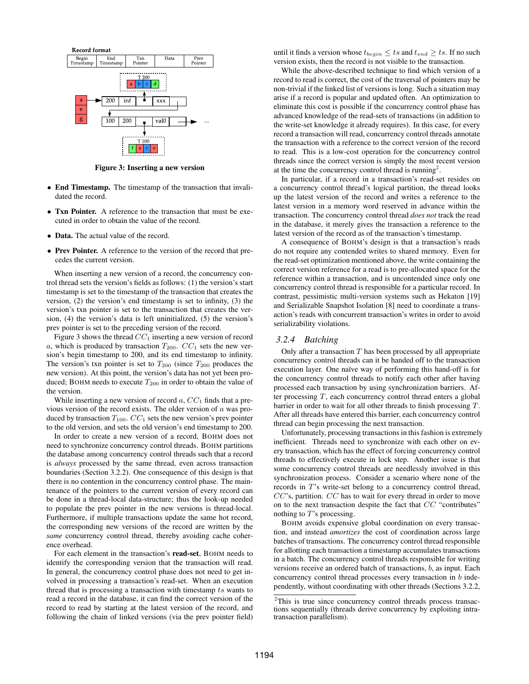

Figure 3: Inserting a new version

- End Timestamp. The timestamp of the transaction that invalidated the record.
- Txn Pointer. A reference to the transaction that must be executed in order to obtain the value of the record.
- Data. The actual value of the record.
- Prev Pointer. A reference to the version of the record that precedes the current version.

When inserting a new version of a record, the concurrency control thread sets the version's fields as follows: (1) the version's start timestamp is set to the timestamp of the transaction that creates the version, (2) the version's end timestamp is set to infinity, (3) the version's txn pointer is set to the transaction that creates the version, (4) the version's data is left uninitialized, (5) the version's prev pointer is set to the preceding version of the record.

Figure 3 shows the thread  $CC_1$  inserting a new version of record a, which is produced by transaction  $T_{200}$ .  $CC_1$  sets the new version's begin timestamp to 200, and its end timestamp to infinity. The version's txn pointer is set to  $T_{200}$  (since  $T_{200}$  produces the new version). At this point, the version's data has not yet been produced; BOHM needs to execute  $T_{200}$  in order to obtain the value of the version.

While inserting a new version of record  $a, CC_1$  finds that a previous version of the record exists. The older version of  $\alpha$  was produced by transaction  $T_{100}$ .  $CC_1$  sets the new version's prev pointer to the old version, and sets the old version's end timestamp to 200.

In order to create a new version of a record, BOHM does not need to synchronize concurrency control threads. BOHM partitions the database among concurrency control threads such that a record is *always* processed by the same thread, even across transaction boundaries (Section 3.2.2). One consequence of this design is that there is no contention in the concurrency control phase. The maintenance of the pointers to the current version of every record can be done in a thread-local data-structure; thus the look-up needed to populate the prev pointer in the new versions is thread-local. Furthermore, if multiple transactions update the same hot record, the corresponding new versions of the record are written by the *same* concurrency control thread, thereby avoiding cache coherence overhead.

For each element in the transaction's read-set, BOHM needs to identify the corresponding version that the transaction will read. In general, the concurrency control phase does not need to get involved in processing a transaction's read-set. When an execution thread that is processing a transaction with timestamp  $ts$  wants to read a record in the database, it can find the correct version of the record to read by starting at the latest version of the record, and following the chain of linked versions (via the prev pointer field) until it finds a version whose  $t_{begin} \leq ts$  and  $t_{end} \geq ts$ . If no such version exists, then the record is not visible to the transaction.

While the above-described technique to find which version of a record to read is correct, the cost of the traversal of pointers may be non-trivial if the linked list of versions is long. Such a situation may arise if a record is popular and updated often. An optimization to eliminate this cost is possible if the concurrency control phase has advanced knowledge of the read-sets of transactions (in addition to the write-set knowledge it already requires). In this case, for every record a transaction will read, concurrency control threads annotate the transaction with a reference to the correct version of the record to read. This is a low-cost operation for the concurrency control threads since the correct version is simply the most recent version at the time the concurrency control thread is running<sup>2</sup>.

In particular, if a record in a transaction's read-set resides on a concurrency control thread's logical partition, the thread looks up the latest version of the record and writes a reference to the latest version in a memory word reserved in advance within the transaction. The concurrency control thread *does not* track the read in the database, it merely gives the transaction a reference to the latest version of the record as of the transaction's timestamp.

A consequence of BOHM's design is that a transaction's reads do not require any contended writes to shared memory. Even for the read-set optimization mentioned above, the write containing the correct version reference for a read is to pre-allocated space for the reference within a transaction, and is uncontended since only one concurrency control thread is responsible for a particular record. In contrast, pessimistic multi-version systems such as Hekaton [19] and Serializable Snapshot Isolation [8] need to coordinate a transaction's reads with concurrent transaction's writes in order to avoid serializability violations.

#### *3.2.4 Batching*

Only after a transaction  $T$  has been processed by all appropriate concurrency control threads can it be handed off to the transaction execution layer. One naïve way of performing this hand-off is for the concurrency control threads to notify each other after having processed each transaction by using synchronization barriers. After processing  $T$ , each concurrency control thread enters a global barrier in order to wait for all other threads to finish processing T. After all threads have entered this barrier, each concurrency control thread can begin processing the next transaction.

Unfortunately, processing transactions in this fashion is extremely inefficient. Threads need to synchronize with each other on every transaction, which has the effect of forcing concurrency control threads to effectively execute in lock step. Another issue is that some concurrency control threads are needlessly involved in this synchronization process. Consider a scenario where none of the records in T's write-set belong to a concurrency control thread, CC's, partition. CC has to wait for every thread in order to move on to the next transaction despite the fact that CC "contributes" nothing to T's processing.

BOHM avoids expensive global coordination on every transaction, and instead *amortizes* the cost of coordination across large batches of transactions. The concurrency control thread responsible for allotting each transaction a timestamp accumulates transactions in a batch. The concurrency control threads responsible for writing versions receive an ordered batch of transactions, b, as input. Each concurrency control thread processes every transaction in b independently, without coordinating with other threads (Sections 3.2.2,

<sup>&</sup>lt;sup>2</sup>This is true since concurrency control threads process transactions sequentially (threads derive concurrency by exploiting intratransaction parallelism).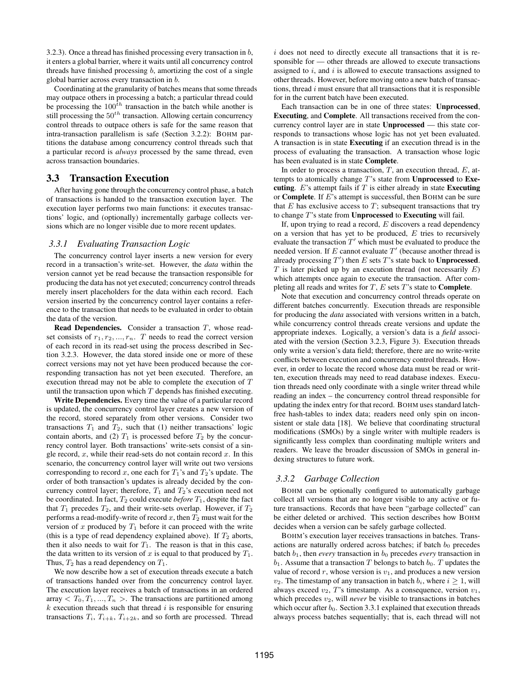3.2.3). Once a thread has finished processing every transaction in b, it enters a global barrier, where it waits until all concurrency control threads have finished processing  $b$ , amortizing the cost of a single global barrier across every transaction in b.

Coordinating at the granularity of batches means that some threads may outpace others in processing a batch; a particular thread could be processing the  $100^{th}$  transaction in the batch while another is still processing the  $50<sup>th</sup>$  transaction. Allowing certain concurrency control threads to outpace others is safe for the same reason that intra-transaction parallelism is safe (Section 3.2.2): BOHM partitions the database among concurrency control threads such that a particular record is *always* processed by the same thread, even across transaction boundaries.

# 3.3 Transaction Execution

After having gone through the concurrency control phase, a batch of transactions is handed to the transaction execution layer. The execution layer performs two main functions: it executes transactions' logic, and (optionally) incrementally garbage collects versions which are no longer visible due to more recent updates.

#### *3.3.1 Evaluating Transaction Logic*

The concurrency control layer inserts a new version for every record in a transaction's write-set. However, the *data* within the version cannot yet be read because the transaction responsible for producing the data has not yet executed; concurrency control threads merely insert placeholders for the data within each record. Each version inserted by the concurrency control layer contains a reference to the transaction that needs to be evaluated in order to obtain the data of the version.

**Read Dependencies.** Consider a transaction  $T$ , whose readset consists of  $r_1, r_2, ..., r_n$ . T needs to read the correct version of each record in its read-set using the process described in Section 3.2.3. However, the data stored inside one or more of these correct versions may not yet have been produced because the corresponding transaction has not yet been executed. Therefore, an execution thread may not be able to complete the execution of T until the transaction upon which  $T$  depends has finished executing.

**Write Dependencies.** Every time the value of a particular record is updated, the concurrency control layer creates a new version of the record, stored separately from other versions. Consider two transactions  $T_1$  and  $T_2$ , such that (1) neither transactions' logic contain aborts, and (2)  $T_1$  is processed before  $T_2$  by the concurrency control layer. Both transactions' write-sets consist of a single record, x, while their read-sets do not contain record  $x$ . In this scenario, the concurrency control layer will write out two versions corresponding to record x, one each for  $T_1$ 's and  $T_2$ 's update. The order of both transaction's updates is already decided by the concurrency control layer; therefore,  $T_1$  and  $T_2$ 's execution need not be coordinated. In fact,  $T_2$  could execute *before*  $T_1$ , despite the fact that  $T_1$  precedes  $T_2$ , and their write-sets overlap. However, if  $T_2$ performs a read-modify-write of record  $x$ , then  $T_2$  must wait for the version of x produced by  $T_1$  before it can proceed with the write (this is a type of read dependency explained above). If  $T_2$  aborts, then it also needs to wait for  $T_1$ . The reason is that in this case, the data written to its version of x is equal to that produced by  $T_1$ . Thus,  $T_2$  has a read dependency on  $T_1$ .

We now describe how a set of execution threads execute a batch of transactions handed over from the concurrency control layer. The execution layer receives a batch of transactions in an ordered array  $T_0, T_1, ..., T_n$  >. The transactions are partitioned among  $k$  execution threads such that thread  $i$  is responsible for ensuring transactions  $T_i$ ,  $T_{i+k}$ ,  $T_{i+2k}$ , and so forth are processed. Thread

 $i$  does not need to directly execute all transactions that it is responsible for — other threads are allowed to execute transactions assigned to  $i$ , and  $i$  is allowed to execute transactions assigned to other threads. However, before moving onto a new batch of transactions, thread  $i$  must ensure that all transactions that it is responsible for in the current batch have been executed.

Each transaction can be in one of three states: Unprocessed, Executing, and Complete. All transactions received from the concurrency control layer are in state Unprocessed — this state corresponds to transactions whose logic has not yet been evaluated. A transaction is in state Executing if an execution thread is in the process of evaluating the transaction. A transaction whose logic has been evaluated is in state Complete.

In order to process a transaction,  $T$ , an execution thread,  $E$ , attempts to atomically change  $T$ 's state from Unprocessed to Executing.  $E$ 's attempt fails if  $T$  is either already in state Executing or Complete. If E's attempt is successful, then BOHM can be sure that  $E$  has exclusive access to  $T$ ; subsequent transactions that try to change T's state from Unprocessed to Executing will fail.

If, upon trying to read a record,  $E$  discovers a read dependency on a version that has yet to be produced,  $E$  tries to recursively evaluate the transaction  $T'$  which must be evaluated to produce the needed version. If E cannot evaluate  $T'$  (because another thread is already processing  $T'$ ) then E sets T's state back to Unprocessed.  $T$  is later picked up by an execution thread (not necessarily  $E$ ) which attempts once again to execute the transaction. After completing all reads and writes for  $T$ ,  $E$  sets  $T$ 's state to **Complete**.

Note that execution and concurrency control threads operate on different batches concurrently. Execution threads are responsible for producing the *data* associated with versions written in a batch, while concurrency control threads create versions and update the appropriate indexes. Logically, a version's data is a *field* associated with the version (Section 3.2.3, Figure 3). Execution threads only write a version's data field; therefore, there are no write-write conflicts between execution and concurrency control threads. However, in order to locate the record whose data must be read or written, execution threads may need to read database indexes. Execution threads need only coordinate with a single writer thread while reading an index – the concurrency control thread responsible for updating the index entry for that record. BOHM uses standard latchfree hash-tables to index data; readers need only spin on inconsistent or stale data [18]. We believe that coordinating structural modifications (SMOs) by a single writer with multiple readers is significantly less complex than coordinating multiple writers and readers. We leave the broader discussion of SMOs in general indexing structures to future work.

#### *3.3.2 Garbage Collection*

BOHM can be optionally configured to automatically garbage collect all versions that are no longer visible to any active or future transactions. Records that have been "garbage collected" can be either deleted or archived. This section describes how BOHM decides when a version can be safely garbage collected.

BOHM's execution layer receives transactions in batches. Transactions are naturally ordered across batches; if batch  $b_0$  precedes batch  $b_1$ , then *every* transaction in  $b_0$  precedes *every* transaction in  $b_1$ . Assume that a transaction T belongs to batch  $b_0$ . T updates the value of record r, whose version is  $v_1$ , and produces a new version  $v_2$ . The timestamp of any transaction in batch  $b_i$ , where  $i \geq 1$ , will always exceed  $v_2$ , T's timestamp. As a consequence, version  $v_1$ , which precedes  $v_2$ , will *never* be visible to transactions in batches which occur after  $b_0$ . Section 3.3.1 explained that execution threads always process batches sequentially; that is, each thread will not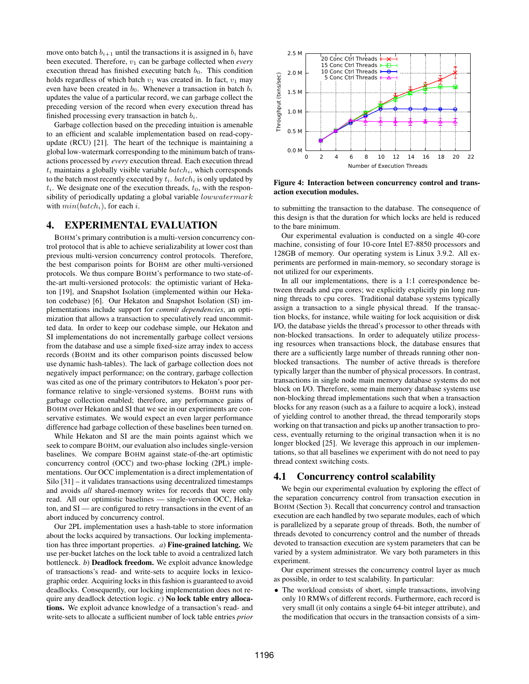move onto batch  $b_{i+1}$  until the transactions it is assigned in  $b_i$  have been executed. Therefore, v<sup>1</sup> can be garbage collected when *every* execution thread has finished executing batch  $b<sub>0</sub>$ . This condition holds regardless of which batch  $v_1$  was created in. In fact,  $v_1$  may even have been created in  $b_0$ . Whenever a transaction in batch  $b_i$ updates the value of a particular record, we can garbage collect the preceding version of the record when every execution thread has finished processing every transaction in batch  $b_i$ .

Garbage collection based on the preceding intuition is amenable to an efficient and scalable implementation based on read-copyupdate (RCU) [21]. The heart of the technique is maintaining a global low-watermark corresponding to the minimum batch of transactions processed by *every* execution thread. Each execution thread  $t_i$  maintains a globally visible variable  $batch_i$ , which corresponds to the batch most recently executed by  $t_i$ .  $batch_i$  is only updated by  $t_i$ . We designate one of the execution threads,  $t_0$ , with the responsibility of periodically updating a global variable *lowwatermark* with  $min(batch<sub>i</sub>)$ , for each i.

# 4. EXPERIMENTAL EVALUATION

BOHM's primary contribution is a multi-version concurrency control protocol that is able to achieve serializability at lower cost than previous multi-version concurrency control protocols. Therefore, the best comparison points for BOHM are other multi-versioned protocols. We thus compare BOHM's performance to two state-ofthe-art multi-versioned protocols: the optimistic variant of Hekaton [19], and Snapshot Isolation (implemented within our Hekaton codebase) [6]. Our Hekaton and Snapshot Isolation (SI) implementations include support for *commit dependencies*, an optimization that allows a transaction to speculatively read uncommitted data. In order to keep our codebase simple, our Hekaton and SI implementations do not incrementally garbage collect versions from the database and use a simple fixed-size array index to access records (BOHM and its other comparison points discussed below use dynamic hash-tables). The lack of garbage collection does not negatively impact performance; on the contrary, garbage collection was cited as one of the primary contributors to Hekaton's poor performance relative to single-versioned systems. BOHM runs with garbage collection enabled; therefore, any performance gains of BOHM over Hekaton and SI that we see in our experiments are conservative estimates. We would expect an even larger performance difference had garbage collection of these baselines been turned on.

While Hekaton and SI are the main points against which we seek to compare BOHM, our evaluation also includes single-version baselines. We compare BOHM against state-of-the-art optimistic concurrency control (OCC) and two-phase locking (2PL) implementations. Our OCC implementation is a direct implementation of Silo [31] – it validates transactions using decentralized timestamps and avoids *all* shared-memory writes for records that were only read. All our optimistic baselines — single-version OCC, Hekaton, and SI — are configured to retry transactions in the event of an abort induced by concurrency control.

Our 2PL implementation uses a hash-table to store information about the locks acquired by transactions. Our locking implementation has three important properties. *a*) Fine-grained latching. We use per-bucket latches on the lock table to avoid a centralized latch bottleneck. *b*) Deadlock freedom. We exploit advance knowledge of transactions's read- and write-sets to acquire locks in lexicographic order. Acquiring locks in this fashion is guaranteed to avoid deadlocks. Consequently, our locking implementation does not require any deadlock detection logic. *c*) No lock table entry allocations. We exploit advance knowledge of a transaction's read- and write-sets to allocate a sufficient number of lock table entries *prior*



Figure 4: Interaction between concurrency control and transaction execution modules.

to submitting the transaction to the database. The consequence of this design is that the duration for which locks are held is reduced to the bare minimum.

Our experimental evaluation is conducted on a single 40-core machine, consisting of four 10-core Intel E7-8850 processors and 128GB of memory. Our operating system is Linux 3.9.2. All experiments are performed in main-memory, so secondary storage is not utilized for our experiments.

In all our implementations, there is a 1:1 correspondence between threads and cpu cores; we explicitly explicitly pin long running threads to cpu cores. Traditional database systems typically assign a transaction to a single physical thread. If the transaction blocks, for instance, while waiting for lock acquisition or disk I/O, the database yields the thread's processor to other threads with non-blocked transactions. In order to adequately utilize processing resources when transactions block, the database ensures that there are a sufficiently large number of threads running other nonblocked transactions. The number of active threads is therefore typically larger than the number of physical processors. In contrast, transactions in single node main memory database systems do not block on I/O. Therefore, some main memory database systems use non-blocking thread implementations such that when a transaction blocks for any reason (such as a a failure to acquire a lock), instead of yielding control to another thread, the thread temporarily stops working on that transaction and picks up another transaction to process, eventually returning to the original transaction when it is no longer blocked [25]. We leverage this approach in our implementations, so that all baselines we experiment with do not need to pay thread context switching costs.

# 4.1 Concurrency control scalability

We begin our experimental evaluation by exploring the effect of the separation concurrency control from transaction execution in BOHM (Section 3). Recall that concurrency control and transaction execution are each handled by two separate modules, each of which is parallelized by a separate group of threads. Both, the number of threads devoted to concurrency control and the number of threads devoted to transaction execution are system parameters that can be varied by a system administrator. We vary both parameters in this experiment.

Our experiment stresses the concurrency control layer as much as possible, in order to test scalability. In particular:

• The workload consists of short, simple transactions, involving only 10 RMWs of different records. Furthermore, each record is very small (it only contains a single 64-bit integer attribute), and the modification that occurs in the transaction consists of a sim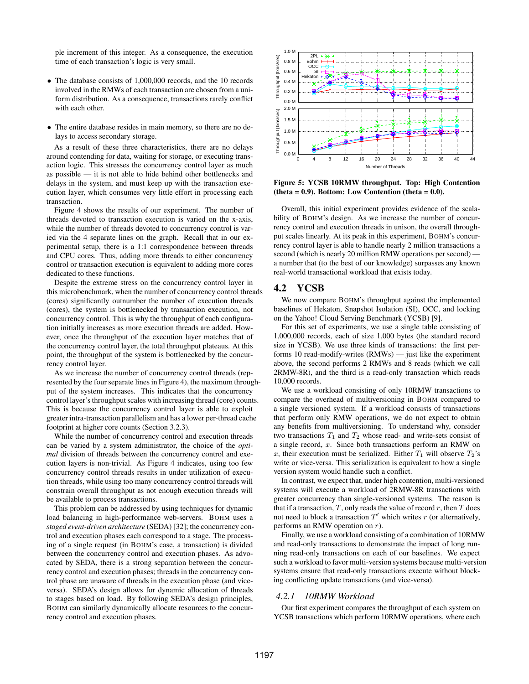ple increment of this integer. As a consequence, the execution time of each transaction's logic is very small.

- The database consists of 1,000,000 records, and the 10 records involved in the RMWs of each transaction are chosen from a uniform distribution. As a consequence, transactions rarely conflict with each other.
- The entire database resides in main memory, so there are no delays to access secondary storage.

As a result of these three characteristics, there are no delays around contending for data, waiting for storage, or executing transaction logic. This stresses the concurrency control layer as much as possible — it is not able to hide behind other bottlenecks and delays in the system, and must keep up with the transaction execution layer, which consumes very little effort in processing each transaction.

Figure 4 shows the results of our experiment. The number of threads devoted to transaction execution is varied on the x-axis, while the number of threads devoted to concurrency control is varied via the 4 separate lines on the graph. Recall that in our experimental setup, there is a 1:1 correspondence between threads and CPU cores. Thus, adding more threads to either concurrency control or transaction execution is equivalent to adding more cores dedicated to these functions.

Despite the extreme stress on the concurrency control layer in this microbenchmark, when the number of concurrency control threads (cores) significantly outnumber the number of execution threads (cores), the system is bottlenecked by transaction execution, not concurrency control. This is why the throughput of each configuration initially increases as more execution threads are added. However, once the throughput of the execution layer matches that of the concurrency control layer, the total throughput plateaus. At this point, the throughput of the system is bottlenecked by the concurrency control layer.

As we increase the number of concurrency control threads (represented by the four separate lines in Figure 4), the maximum throughput of the system increases. This indicates that the concurrency control layer's throughput scales with increasing thread (core) counts. This is because the concurrency control layer is able to exploit greater intra-transaction parallelism and has a lower per-thread cache footprint at higher core counts (Section 3.2.3).

While the number of concurrency control and execution threads can be varied by a system administrator, the choice of the *optimal* division of threads between the concurrency control and execution layers is non-trivial. As Figure 4 indicates, using too few concurrency control threads results in under utilization of execution threads, while using too many concurrency control threads will constrain overall throughput as not enough execution threads will be available to process transactions.

This problem can be addressed by using techniques for dynamic load balancing in high-performance web-servers. BOHM uses a *staged event-driven architecture* (SEDA) [32]; the concurrency control and execution phases each correspond to a stage. The processing of a single request (in BOHM's case, a transaction) is divided between the concurrency control and execution phases. As advocated by SEDA, there is a strong separation between the concurrency control and execution phases; threads in the concurrency control phase are unaware of threads in the execution phase (and viceversa). SEDA's design allows for dynamic allocation of threads to stages based on load. By following SEDA's design principles, BOHM can similarly dynamically allocate resources to the concurrency control and execution phases.



Figure 5: YCSB 10RMW throughput. Top: High Contention (theta =  $0.9$ ). Bottom: Low Contention (theta =  $0.0$ ).

Overall, this initial experiment provides evidence of the scalability of BOHM's design. As we increase the number of concurrency control and execution threads in unison, the overall throughput scales linearly. At its peak in this experiment, BOHM's concurrency control layer is able to handle nearly 2 million transactions a second (which is nearly 20 million RMW operations per second) a number that (to the best of our knowledge) surpasses any known real-world transactional workload that exists today.

#### 4.2 YCSB

We now compare BOHM's throughput against the implemented baselines of Hekaton, Snapshot Isolation (SI), OCC, and locking on the Yahoo! Cloud Serving Benchmark (YCSB) [9].

For this set of experiments, we use a single table consisting of 1,000,000 records, each of size 1,000 bytes (the standard record size in YCSB). We use three kinds of transactions: the first performs 10 read-modify-writes (RMWs) — just like the experiment above, the second performs 2 RMWs and 8 reads (which we call 2RMW-8R), and the third is a read-only transaction which reads 10,000 records.

We use a workload consisting of only 10RMW transactions to compare the overhead of multiversioning in BOHM compared to a single versioned system. If a workload consists of transactions that perform only RMW operations, we do not expect to obtain any benefits from multiversioning. To understand why, consider two transactions  $T_1$  and  $T_2$  whose read- and write-sets consist of a single record, x. Since both transactions perform an RMW on x, their execution must be serialized. Either  $T_1$  will observe  $T_2$ 's write or vice-versa. This serialization is equivalent to how a single version system would handle such a conflict.

In contrast, we expect that, under high contention, multi-versioned systems will execute a workload of 2RMW-8R transactions with greater concurrency than single-versioned systems. The reason is that if a transaction,  $T$ , only reads the value of record  $r$ , then  $T$  does not need to block a transaction  $T'$  which writes r (or alternatively, performs an RMW operation on r).

Finally, we use a workload consisting of a combination of 10RMW and read-only transactions to demonstrate the impact of long running read-only transactions on each of our baselines. We expect such a workload to favor multi-version systems because multi-version systems ensure that read-only transactions execute without blocking conflicting update transactions (and vice-versa).

#### *4.2.1 10RMW Workload*

Our first experiment compares the throughput of each system on YCSB transactions which perform 10RMW operations, where each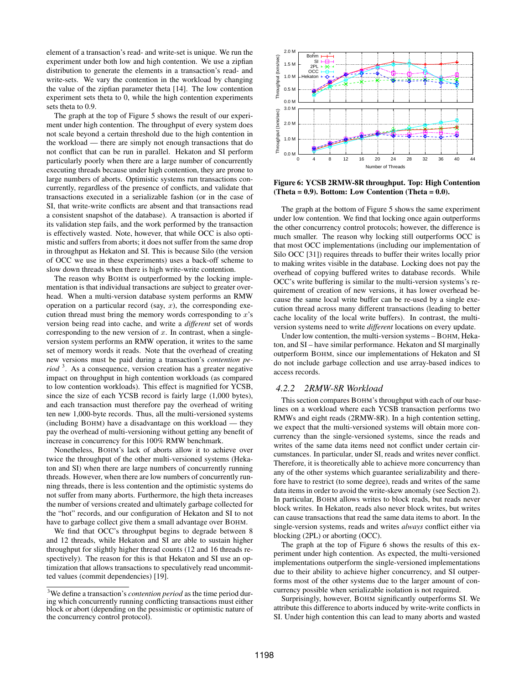element of a transaction's read- and write-set is unique. We run the experiment under both low and high contention. We use a zipfian distribution to generate the elements in a transaction's read- and write-sets. We vary the contention in the workload by changing the value of the zipfian parameter theta [14]. The low contention experiment sets theta to 0, while the high contention experiments sets theta to 0.9.

The graph at the top of Figure 5 shows the result of our experiment under high contention. The throughput of every system does not scale beyond a certain threshold due to the high contention in the workload — there are simply not enough transactions that do not conflict that can be run in parallel. Hekaton and SI perform particularly poorly when there are a large number of concurrently executing threads because under high contention, they are prone to large numbers of aborts. Optimistic systems run transactions concurrently, regardless of the presence of conflicts, and validate that transactions executed in a serializable fashion (or in the case of SI, that write-write conflicts are absent and that transactions read a consistent snapshot of the database). A transaction is aborted if its validation step fails, and the work performed by the transaction is effectively wasted. Note, however, that while OCC is also optimistic and suffers from aborts; it does not suffer from the same drop in throughput as Hekaton and SI. This is because Silo (the version of OCC we use in these experiments) uses a back-off scheme to slow down threads when there is high write-write contention.

The reason why BOHM is outperformed by the locking implementation is that individual transactions are subject to greater overhead. When a multi-version database system performs an RMW operation on a particular record (say,  $x$ ), the corresponding execution thread must bring the memory words corresponding to  $x$ 's version being read into cache, and write a *different* set of words corresponding to the new version of  $x$ . In contrast, when a singleversion system performs an RMW operation, it writes to the same set of memory words it reads. Note that the overhead of creating new versions must be paid during a transaction's *contention period* <sup>3</sup> . As a consequence, version creation has a greater negative impact on throughput in high contention workloads (as compared to low contention workloads). This effect is magnified for YCSB, since the size of each YCSB record is fairly large (1,000 bytes), and each transaction must therefore pay the overhead of writing ten new 1,000-byte records. Thus, all the multi-versioned systems (including BOHM) have a disadvantage on this workload — they pay the overhead of multi-versioning without getting any benefit of increase in concurrency for this 100% RMW benchmark.

Nonetheless, BOHM's lack of aborts allow it to achieve over twice the throughput of the other multi-versioned systems (Hekaton and SI) when there are large numbers of concurrently running threads. However, when there are low numbers of concurrently running threads, there is less contention and the optimistic systems do not suffer from many aborts. Furthermore, the high theta increases the number of versions created and ultimately garbage collected for the "hot" records, and our configuration of Hekaton and SI to not have to garbage collect give them a small advantage over BOHM.

We find that OCC's throughput begins to degrade between 8 and 12 threads, while Hekaton and SI are able to sustain higher throughput for slightly higher thread counts (12 and 16 threads respectively). The reason for this is that Hekaton and SI use an optimization that allows transactions to speculatively read uncommitted values (commit dependencies) [19].



Figure 6: YCSB 2RMW-8R throughput. Top: High Contention (Theta =  $0.9$ ). Bottom: Low Contention (Theta =  $0.0$ ).

The graph at the bottom of Figure 5 shows the same experiment under low contention. We find that locking once again outperforms the other concurrency control protocols; however, the difference is much smaller. The reason why locking still outperforms OCC is that most OCC implementations (including our implementation of Silo OCC [31]) requires threads to buffer their writes locally prior to making writes visible in the database. Locking does not pay the overhead of copying buffered writes to database records. While OCC's write buffering is similar to the multi-version systems's requirement of creation of new versions, it has lower overhead because the same local write buffer can be re-used by a single execution thread across many different transactions (leading to better cache locality of the local write buffers). In contrast, the multiversion systems need to write *different* locations on every update.

Under low contention, the multi-version systems – BOHM, Hekaton, and SI – have similar performance. Hekaton and SI marginally outperform BOHM, since our implementations of Hekaton and SI do not include garbage collection and use array-based indices to access records.

#### *4.2.2 2RMW-8R Workload*

This section compares BOHM's throughput with each of our baselines on a workload where each YCSB transaction performs two RMWs and eight reads (2RMW-8R). In a high contention setting, we expect that the multi-versioned systems will obtain more concurrency than the single-versioned systems, since the reads and writes of the same data items need not conflict under certain circumstances. In particular, under SI, reads and writes never conflict. Therefore, it is theoretically able to achieve more concurrency than any of the other systems which guarantee serializability and therefore have to restrict (to some degree), reads and writes of the same data items in order to avoid the write-skew anomaly (see Section 2). In particular, BOHM allows writes to block reads, but reads never block writes. In Hekaton, reads also never block writes, but writes can cause transactions that read the same data items to abort. In the single-version systems, reads and writes *always* conflict either via blocking (2PL) or aborting (OCC).

The graph at the top of Figure 6 shows the results of this experiment under high contention. As expected, the multi-versioned implementations outperform the single-versioned implementations due to their ability to achieve higher concurrency, and SI outperforms most of the other systems due to the larger amount of concurrency possible when serializable isolation is not required.

Surprisingly, however, BOHM significantly outperforms SI. We attribute this difference to aborts induced by write-write conflicts in SI. Under high contention this can lead to many aborts and wasted

<sup>3</sup>We define a transaction's *contention period* as the time period during which concurrently running conflicting transactions must either block or abort (depending on the pessimistic or optimistic nature of the concurrency control protocol).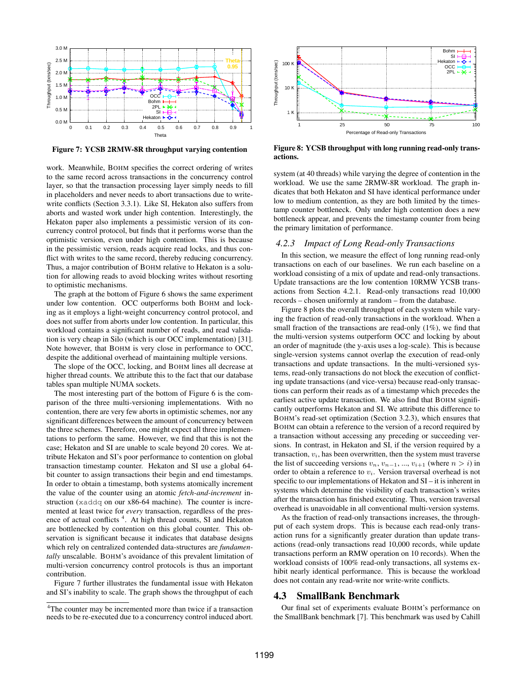

Figure 7: YCSB 2RMW-8R throughput varying contention

work. Meanwhile, BOHM specifies the correct ordering of writes to the same record across transactions in the concurrency control layer, so that the transaction processing layer simply needs to fill in placeholders and never needs to abort transactions due to writewrite conflicts (Section 3.3.1). Like SI, Hekaton also suffers from aborts and wasted work under high contention. Interestingly, the Hekaton paper also implements a pessimistic version of its concurrency control protocol, but finds that it performs worse than the optimistic version, even under high contention. This is because in the pessimistic version, reads acquire read locks, and thus conflict with writes to the same record, thereby reducing concurrency. Thus, a major contribution of BOHM relative to Hekaton is a solution for allowing reads to avoid blocking writes without resorting to optimistic mechanisms.

The graph at the bottom of Figure 6 shows the same experiment under low contention. OCC outperforms both BOHM and locking as it employs a light-weight concurrency control protocol, and does not suffer from aborts under low contention. In particular, this workload contains a significant number of reads, and read validation is very cheap in Silo (which is our OCC implementation) [31]. Note however, that BOHM is very close in performance to OCC, despite the additional overhead of maintaining multiple versions.

The slope of the OCC, locking, and BOHM lines all decrease at higher thread counts. We attribute this to the fact that our database tables span multiple NUMA sockets.

The most interesting part of the bottom of Figure 6 is the comparison of the three multi-versioning implementations. With no contention, there are very few aborts in optimistic schemes, nor any significant differences between the amount of concurrency between the three schemes. Therefore, one might expect all three implementations to perform the same. However, we find that this is not the case; Hekaton and SI are unable to scale beyond 20 cores. We attribute Hekaton and SI's poor performance to contention on global transaction timestamp counter. Hekaton and SI use a global 64 bit counter to assign transactions their begin and end timestamps. In order to obtain a timestamp, both systems atomically increment the value of the counter using an atomic *fetch-and-increment* instruction (xaddq on our x86-64 machine). The counter is incremented at least twice for *every* transaction, regardless of the presence of actual conflicts<sup>4</sup>. At high thread counts, SI and Hekaton are bottlenecked by contention on this global counter. This observation is significant because it indicates that database designs which rely on centralized contended data-structures are *fundamentally* unscalable. BOHM's avoidance of this prevalent limitation of multi-version concurrency control protocols is thus an important contribution.

Figure 7 further illustrates the fundamental issue with Hekaton and SI's inability to scale. The graph shows the throughput of each



Figure 8: YCSB throughput with long running read-only transactions.

system (at 40 threads) while varying the degree of contention in the workload. We use the same 2RMW-8R workload. The graph indicates that both Hekaton and SI have identical performance under low to medium contention, as they are both limited by the timestamp counter bottleneck. Only under high contention does a new bottleneck appear, and prevents the timestamp counter from being the primary limitation of performance.

#### *4.2.3 Impact of Long Read-only Transactions*

In this section, we measure the effect of long running read-only transactions on each of our baselines. We run each baseline on a workload consisting of a mix of update and read-only transactions. Update transactions are the low contention 10RMW YCSB transactions from Section 4.2.1. Read-only transactions read 10,000 records – chosen uniformly at random – from the database.

Figure 8 plots the overall throughput of each system while varying the fraction of read-only transactions in the workload. When a small fraction of the transactions are read-only (1%), we find that the multi-version systems outperform OCC and locking by about an order of magnitude (the y-axis uses a log-scale). This is because single-version systems cannot overlap the execution of read-only transactions and update transactions. In the multi-versioned systems, read-only transactions do not block the execution of conflicting update transactions (and vice-versa) because read-only transactions can perform their reads as of a timestamp which precedes the earliest active update transaction. We also find that BOHM significantly outperforms Hekaton and SI. We attribute this difference to BOHM's read-set optimization (Section 3.2.3), which ensures that BOHM can obtain a reference to the version of a record required by a transaction without accessing any preceding or succeeding versions. In contrast, in Hekaton and SI, if the version required by a transaction,  $v_i$ , has been overwritten, then the system must traverse the list of succeeding versions  $v_n$ ,  $v_{n-1}$ , ...,  $v_{i+1}$  (where  $n > i$ ) in order to obtain a reference to  $v_i$ . Version traversal overhead is not specific to our implementations of Hekaton and SI – it is inherent in systems which determine the visibility of each transaction's writes after the transaction has finished executing. Thus, version traversal overhead is unavoidable in all conventional multi-version systems.

As the fraction of read-only transactions increases, the throughput of each system drops. This is because each read-only transaction runs for a significantly greater duration than update transactions (read-only transactions read 10,000 records, while update transactions perform an RMW operation on 10 records). When the workload consists of 100% read-only transactions, all systems exhibit nearly identical performance. This is because the workload does not contain any read-write nor write-write conflicts.

#### 4.3 SmallBank Benchmark

Our final set of experiments evaluate BOHM's performance on the SmallBank benchmark [7]. This benchmark was used by Cahill

<sup>4</sup>The counter may be incremented more than twice if a transaction needs to be re-executed due to a concurrency control induced abort.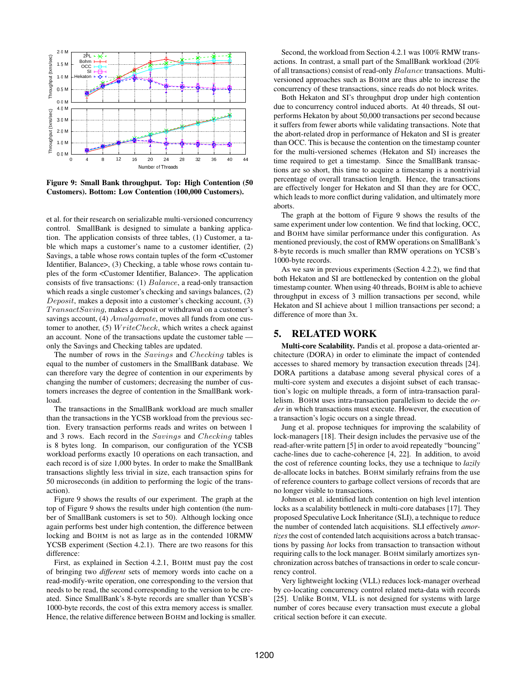

Figure 9: Small Bank throughput. Top: High Contention (50 Customers). Bottom: Low Contention (100,000 Customers).

et al. for their research on serializable multi-versioned concurrency control. SmallBank is designed to simulate a banking application. The application consists of three tables, (1) Customer, a table which maps a customer's name to a customer identifier, (2) Savings, a table whose rows contain tuples of the form <Customer Identifier, Balance>, (3) Checking, a table whose rows contain tuples of the form <Customer Identifier, Balance>. The application consists of five transactions: (1) Balance, a read-only transaction which reads a single customer's checking and savings balances, (2) Deposit, makes a deposit into a customer's checking account, (3)  $TransactSaving$ , makes a deposit or withdrawal on a customer's savings account, (4) Amalgamate, moves all funds from one customer to another,  $(5) WriteCheck$ , which writes a check against an account. None of the transactions update the customer table only the Savings and Checking tables are updated.

The number of rows in the Savings and Checking tables is equal to the number of customers in the SmallBank database. We can therefore vary the degree of contention in our experiments by changing the number of customers; decreasing the number of customers increases the degree of contention in the SmallBank workload.

The transactions in the SmallBank workload are much smaller than the transactions in the YCSB workload from the previous section. Every transaction performs reads and writes on between 1 and 3 rows. Each record in the Savings and Checking tables is 8 bytes long. In comparison, our configuration of the YCSB workload performs exactly 10 operations on each transaction, and each record is of size 1,000 bytes. In order to make the SmallBank transactions slightly less trivial in size, each transaction spins for 50 microseconds (in addition to performing the logic of the transaction).

Figure 9 shows the results of our experiment. The graph at the top of Figure 9 shows the results under high contention (the number of SmallBank customers is set to 50). Although locking once again performs best under high contention, the difference between locking and BOHM is not as large as in the contended 10RMW YCSB experiment (Section 4.2.1). There are two reasons for this difference:

First, as explained in Section 4.2.1, BOHM must pay the cost of bringing two *different* sets of memory words into cache on a read-modify-write operation, one corresponding to the version that needs to be read, the second corresponding to the version to be created. Since SmallBank's 8-byte records are smaller than YCSB's 1000-byte records, the cost of this extra memory access is smaller. Hence, the relative difference between BOHM and locking is smaller.

Second, the workload from Section 4.2.1 was 100% RMW transactions. In contrast, a small part of the SmallBank workload (20% of all transactions) consist of read-only Balance transactions. Multiversioned approaches such as BOHM are thus able to increase the concurrency of these transactions, since reads do not block writes.

Both Hekaton and SI's throughput drop under high contention due to concurrency control induced aborts. At 40 threads, SI outperforms Hekaton by about 50,000 transactions per second because it suffers from fewer aborts while validating transactions. Note that the abort-related drop in performance of Hekaton and SI is greater than OCC. This is because the contention on the timestamp counter for the multi-versioned schemes (Hekaton and SI) increases the time required to get a timestamp. Since the SmallBank transactions are so short, this time to acquire a timestamp is a nontrivial percentage of overall transaction length. Hence, the transactions are effectively longer for Hekaton and SI than they are for OCC, which leads to more conflict during validation, and ultimately more aborts.

The graph at the bottom of Figure 9 shows the results of the same experiment under low contention. We find that locking, OCC, and BOHM have similar performance under this configuration. As mentioned previously, the cost of RMW operations on SmallBank's 8-byte records is much smaller than RMW operations on YCSB's 1000-byte records.

As we saw in previous experiments (Section 4.2.2), we find that both Hekaton and SI are bottlenecked by contention on the global timestamp counter. When using 40 threads, BOHM is able to achieve throughput in excess of 3 million transactions per second, while Hekaton and SI achieve about 1 million transactions per second; a difference of more than 3x.

# 5. RELATED WORK

Multi-core Scalability. Pandis et al. propose a data-oriented architecture (DORA) in order to eliminate the impact of contended accesses to shared memory by transaction execution threads [24]. DORA partitions a database among several physical cores of a multi-core system and executes a disjoint subset of each transaction's logic on multiple threads, a form of intra-transaction parallelism. BOHM uses intra-transaction parallelism to decide the *order* in which transactions must execute. However, the execution of a transaction's logic occurs on a single thread.

Jung et al. propose techniques for improving the scalability of lock-managers [18]. Their design includes the pervasive use of the read-after-write pattern [5] in order to avoid repeatedly "bouncing" cache-lines due to cache-coherence [4, 22]. In addition, to avoid the cost of reference counting locks, they use a technique to *lazily* de-allocate locks in batches. BOHM similarly refrains from the use of reference counters to garbage collect versions of records that are no longer visible to transactions.

Johnson et al. identified latch contention on high level intention locks as a scalability bottleneck in multi-core databases [17]. They proposed Speculative Lock Inheritance (SLI), a technique to reduce the number of contended latch acquisitions. SLI effectively *amortizes* the cost of contended latch acquisitions across a batch transactions by passing *hot* locks from transaction to transaction without requiring calls to the lock manager. BOHM similarly amortizes synchronization across batches of transactions in order to scale concurrency control.

Very lightweight locking (VLL) reduces lock-manager overhead by co-locating concurrency control related meta-data with records [25]. Unlike BOHM, VLL is not designed for systems with large number of cores because every transaction must execute a global critical section before it can execute.